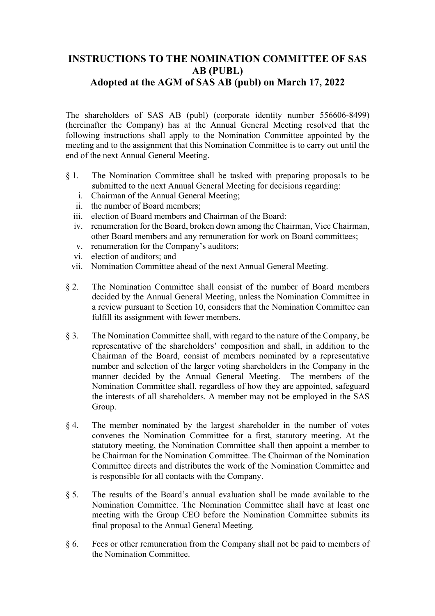## **INSTRUCTIONS TO THE NOMINATION COMMITTEE OF SAS AB (PUBL) Adopted at the AGM of SAS AB (publ) on March 17, 2022**

The shareholders of SAS AB (publ) (corporate identity number 556606-8499) (hereinafter the Company) has at the Annual General Meeting resolved that the following instructions shall apply to the Nomination Committee appointed by the meeting and to the assignment that this Nomination Committee is to carry out until the end of the next Annual General Meeting.

- § 1. The Nomination Committee shall be tasked with preparing proposals to be submitted to the next Annual General Meeting for decisions regarding:
	- i. Chairman of the Annual General Meeting;
	- ii. the number of Board members;
	- iii. election of Board members and Chairman of the Board:
	- iv. renumeration for the Board, broken down among the Chairman, Vice Chairman, other Board members and any remuneration for work on Board committees;
	- v. renumeration for the Company's auditors;
	- vi. election of auditors; and
	- vii. Nomination Committee ahead of the next Annual General Meeting.
- § 2. The Nomination Committee shall consist of the number of Board members decided by the Annual General Meeting, unless the Nomination Committee in a review pursuant to Section 10, considers that the Nomination Committee can fulfill its assignment with fewer members.
- § 3. The Nomination Committee shall, with regard to the nature of the Company, be representative of the shareholders' composition and shall, in addition to the Chairman of the Board, consist of members nominated by a representative number and selection of the larger voting shareholders in the Company in the manner decided by the Annual General Meeting. The members of the Nomination Committee shall, regardless of how they are appointed, safeguard the interests of all shareholders. A member may not be employed in the SAS Group.
- § 4. The member nominated by the largest shareholder in the number of votes convenes the Nomination Committee for a first, statutory meeting. At the statutory meeting, the Nomination Committee shall then appoint a member to be Chairman for the Nomination Committee. The Chairman of the Nomination Committee directs and distributes the work of the Nomination Committee and is responsible for all contacts with the Company.
- § 5. The results of the Board's annual evaluation shall be made available to the Nomination Committee. The Nomination Committee shall have at least one meeting with the Group CEO before the Nomination Committee submits its final proposal to the Annual General Meeting.
- § 6. Fees or other remuneration from the Company shall not be paid to members of the Nomination Committee.